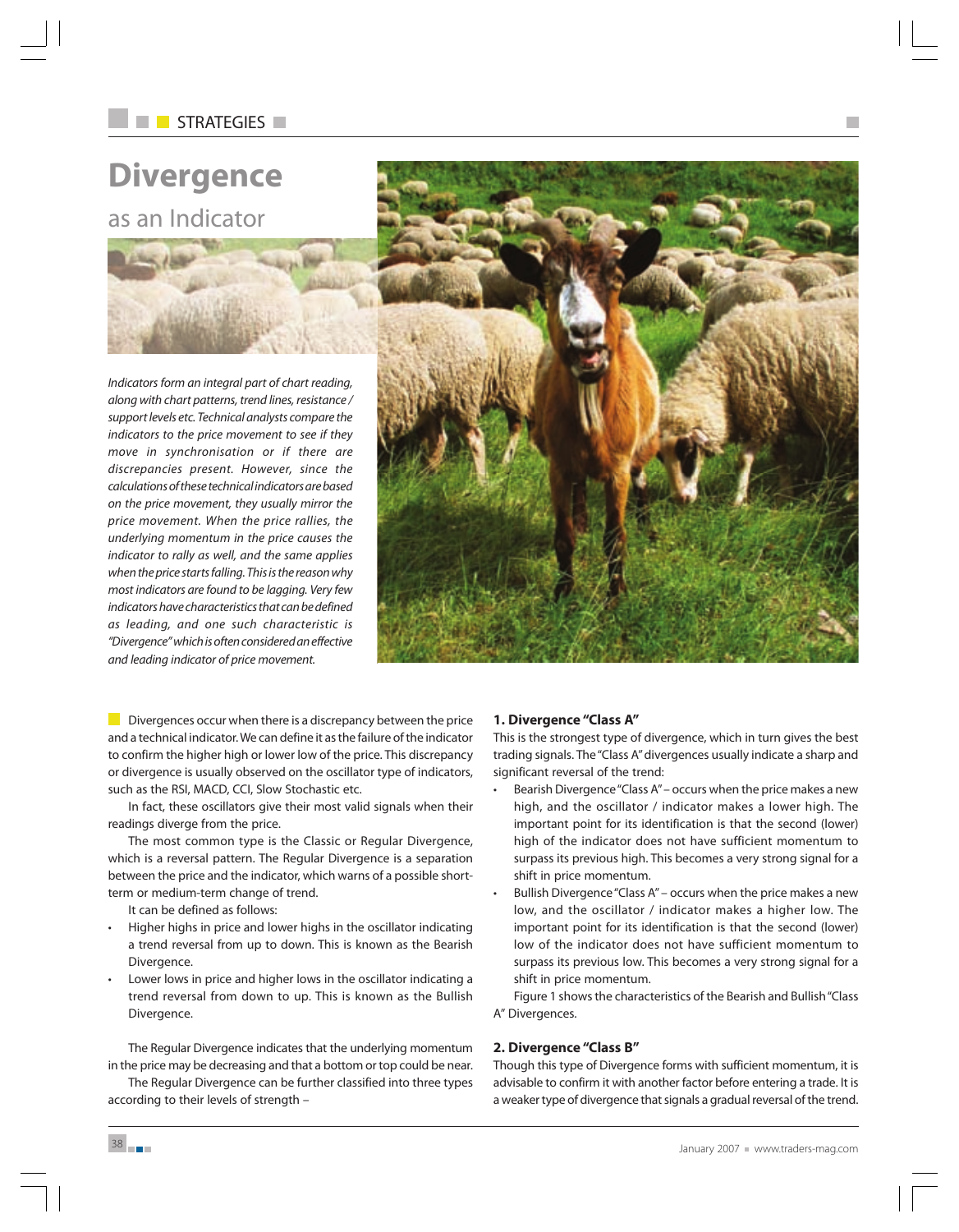# STRATEGIES **NEW**

# **Divergence** as an Indicator

Indicators form an integral part of chart reading, along with chart patterns, trend lines, resistance / support levels etc. Technical analysts compare the indicators to the price movement to see if they move in synchronisation or if there are discrepancies present. However, since the calculations of these technical indicators are based on the price movement, they usually mirror the price movement. When the price rallies, the underlying momentum in the price causes the indicator to rally as well, and the same applies when the price starts falling. This is the reason why most indicators are found to be lagging. Very few indicators have characteristics that can be defined as leading, and one such characteristic is "Divergence" which is often considered an effective and leading indicator of price movement.



Divergences occur when there is a discrepancy between the price and a technical indicator. We can define it as the failure of the indicator to confirm the higher high or lower low of the price. This discrepancy or divergence is usually observed on the oscillator type of indicators, such as the RSI, MACD, CCI, Slow Stochastic etc.

In fact, these oscillators give their most valid signals when their readings diverge from the price.

The most common type is the Classic or Regular Divergence, which is a reversal pattern. The Regular Divergence is a separation between the price and the indicator, which warns of a possible shortterm or medium-term change of trend.

It can be defined as follows:

- Higher highs in price and lower highs in the oscillator indicating a trend reversal from up to down. This is known as the Bearish Divergence.
- Lower lows in price and higher lows in the oscillator indicating a trend reversal from down to up. This is known as the Bullish Divergence.

The Regular Divergence indicates that the underlying momentum in the price may be decreasing and that a bottom or top could be near.

The Regular Divergence can be further classified into three types according to their levels of strength –

## **1. Divergence "Class A"**

This is the strongest type of divergence, which in turn gives the best trading signals. The "Class A" divergences usually indicate a sharp and significant reversal of the trend:

- Bearish Divergence "Class A" occurs when the price makes a new high, and the oscillator / indicator makes a lower high. The important point for its identification is that the second (lower) high of the indicator does not have sufficient momentum to surpass its previous high. This becomes a very strong signal for a shift in price momentum.
- Bullish Divergence "Class A" occurs when the price makes a new low, and the oscillator / indicator makes a higher low. The important point for its identification is that the second (lower) low of the indicator does not have sufficient momentum to surpass its previous low. This becomes a very strong signal for a shift in price momentum.

Figure 1 shows the characteristics of the Bearish and Bullish "Class A" Divergences.

## **2. Divergence "Class B"**

Though this type of Divergence forms with sufficient momentum, it is advisable to confirm it with another factor before entering a trade. It is a weaker type of divergence that signals a gradual reversal of the trend.

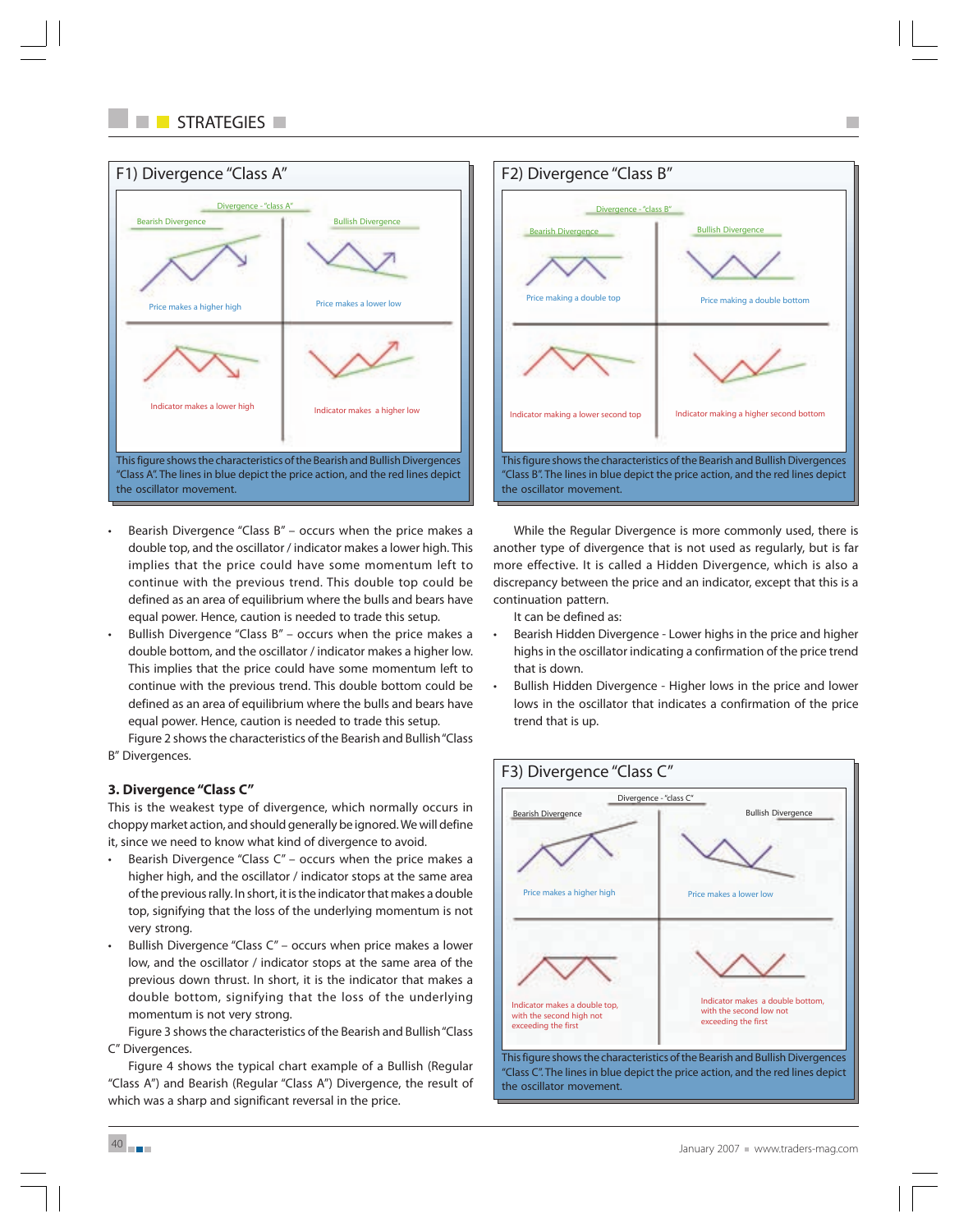

- Bearish Divergence "Class  $B''$  occurs when the price makes a double top, and the oscillator / indicator makes a lower high. This implies that the price could have some momentum left to continue with the previous trend. This double top could be defined as an area of equilibrium where the bulls and bears have equal power. Hence, caution is needed to trade this setup.
- Bullish Divergence "Class B" occurs when the price makes a double bottom, and the oscillator / indicator makes a higher low. This implies that the price could have some momentum left to continue with the previous trend. This double bottom could be defined as an area of equilibrium where the bulls and bears have equal power. Hence, caution is needed to trade this setup.

Figure 2 shows the characteristics of the Bearish and Bullish "Class B" Divergences.

# **3. Divergence "Class C"**

This is the weakest type of divergence, which normally occurs in choppy market action, and should generally be ignored. We will define it, since we need to know what kind of divergence to avoid.

- Bearish Divergence "Class  $C''$  occurs when the price makes a higher high, and the oscillator / indicator stops at the same area of the previous rally. In short, it is the indicator that makes a double top, signifying that the loss of the underlying momentum is not very strong.
- Bullish Divergence "Class C" occurs when price makes a lower low, and the oscillator / indicator stops at the same area of the previous down thrust. In short, it is the indicator that makes a double bottom, signifying that the loss of the underlying momentum is not very strong.

Figure 3 shows the characteristics of the Bearish and Bullish "Class C" Divergences.

Figure 4 shows the typical chart example of a Bullish (Regular "Class A") and Bearish (Regular "Class A") Divergence, the result of which was a sharp and significant reversal in the price.



While the Regular Divergence is more commonly used, there is another type of divergence that is not used as regularly, but is far more effective. It is called a Hidden Divergence, which is also a discrepancy between the price and an indicator, except that this is a continuation pattern.

It can be defined as:

- Bearish Hidden Divergence Lower highs in the price and higher highs in the oscillator indicating a confirmation of the price trend that is down.
- Bullish Hidden Divergence Higher lows in the price and lower lows in the oscillator that indicates a confirmation of the price trend that is up.

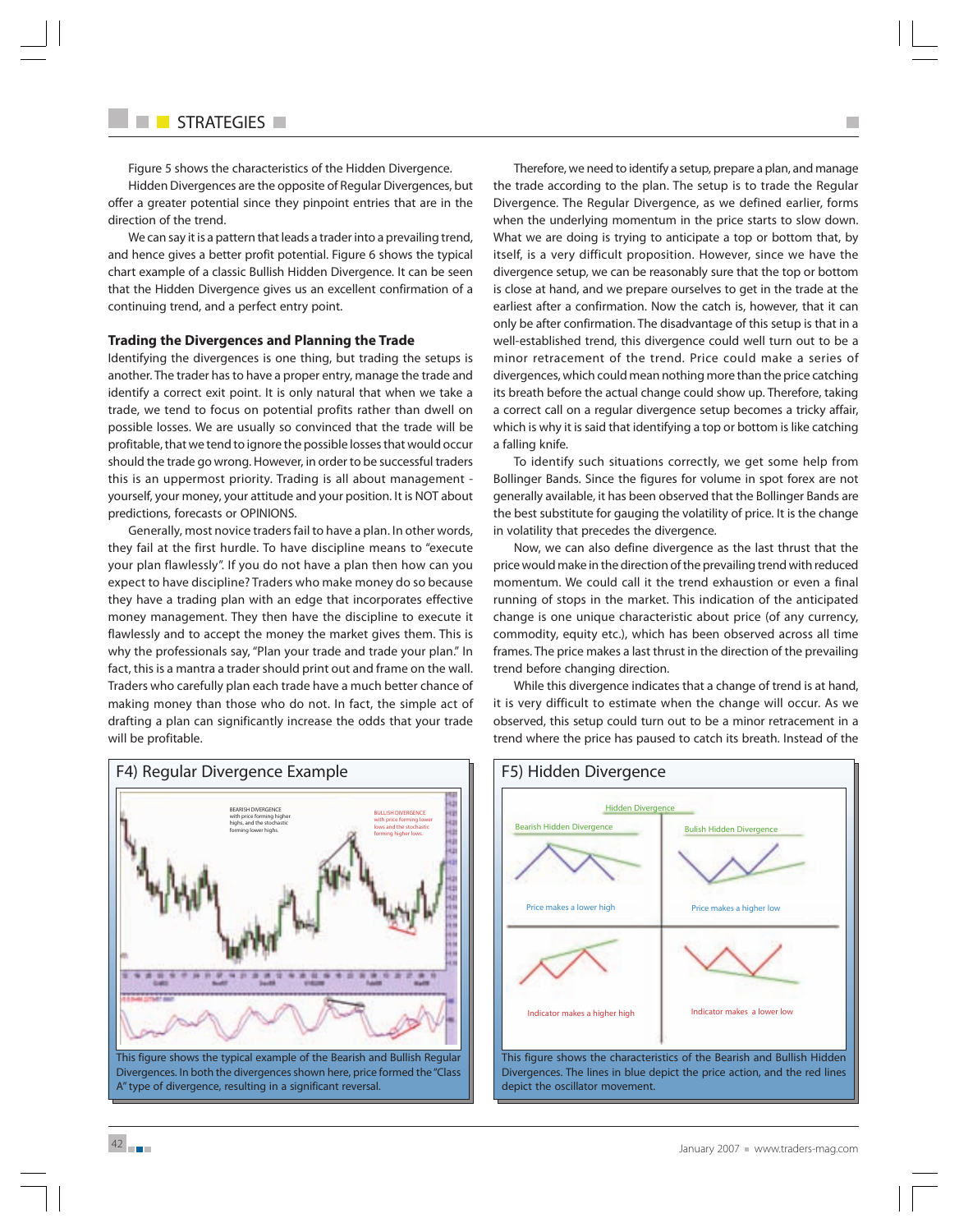Figure 5 shows the characteristics of the Hidden Divergence.

Hidden Divergences are the opposite of Regular Divergences, but offer a greater potential since they pinpoint entries that are in the direction of the trend.

We can say it is a pattern that leads a trader into a prevailing trend, and hence gives a better profit potential. Figure 6 shows the typical chart example of a classic Bullish Hidden Divergence. It can be seen that the Hidden Divergence gives us an excellent confirmation of a continuing trend, and a perfect entry point.

#### **Trading the Divergences and Planning the Trade**

Identifying the divergences is one thing, but trading the setups is another. The trader has to have a proper entry, manage the trade and identify a correct exit point. It is only natural that when we take a trade, we tend to focus on potential profits rather than dwell on possible losses. We are usually so convinced that the trade will be profitable, that we tend to ignore the possible losses that would occur should the trade go wrong. However, in order to be successful traders this is an uppermost priority. Trading is all about management yourself, your money, your attitude and your position. It is NOT about predictions, forecasts or OPINIONS.

Generally, most novice traders fail to have a plan. In other words, they fail at the first hurdle. To have discipline means to "execute your plan flawlessly". If you do not have a plan then how can you expect to have discipline? Traders who make money do so because they have a trading plan with an edge that incorporates effective money management. They then have the discipline to execute it flawlessly and to accept the money the market gives them. This is why the professionals say, "Plan your trade and trade your plan." In fact, this is a mantra a trader should print out and frame on the wall. Traders who carefully plan each trade have a much better chance of making money than those who do not. In fact, the simple act of drafting a plan can significantly increase the odds that your trade will be profitable.

Therefore, we need to identify a setup, prepare a plan, and manage the trade according to the plan. The setup is to trade the Regular Divergence. The Regular Divergence, as we defined earlier, forms when the underlying momentum in the price starts to slow down. What we are doing is trying to anticipate a top or bottom that, by itself, is a very difficult proposition. However, since we have the divergence setup, we can be reasonably sure that the top or bottom is close at hand, and we prepare ourselves to get in the trade at the earliest after a confirmation. Now the catch is, however, that it can only be after confirmation. The disadvantage of this setup is that in a well-established trend, this divergence could well turn out to be a minor retracement of the trend. Price could make a series of divergences, which could mean nothing more than the price catching its breath before the actual change could show up. Therefore, taking a correct call on a regular divergence setup becomes a tricky affair, which is why it is said that identifying a top or bottom is like catching a falling knife.

H.

To identify such situations correctly, we get some help from Bollinger Bands. Since the figures for volume in spot forex are not generally available, it has been observed that the Bollinger Bands are the best substitute for gauging the volatility of price. It is the change in volatility that precedes the divergence.

Now, we can also define divergence as the last thrust that the price would make in the direction of the prevailing trend with reduced momentum. We could call it the trend exhaustion or even a final running of stops in the market. This indication of the anticipated change is one unique characteristic about price (of any currency, commodity, equity etc.), which has been observed across all time frames. The price makes a last thrust in the direction of the prevailing trend before changing direction.

While this divergence indicates that a change of trend is at hand, it is very difficult to estimate when the change will occur. As we observed, this setup could turn out to be a minor retracement in a trend where the price has paused to catch its breath. Instead of the



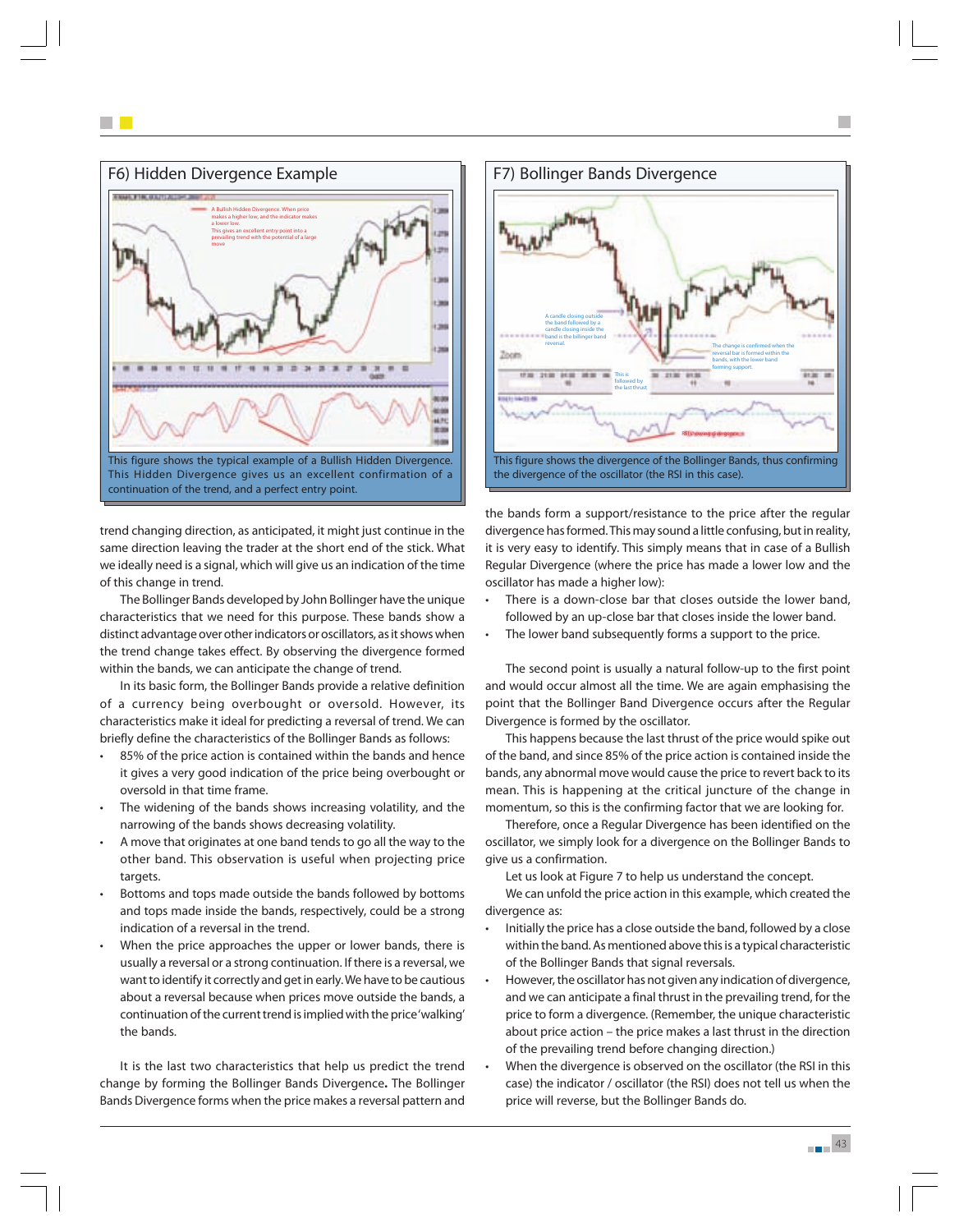

trend changing direction, as anticipated, it might just continue in the same direction leaving the trader at the short end of the stick. What we ideally need is a signal, which will give us an indication of the time of this change in trend.

The Bollinger Bands developed by John Bollinger have the unique characteristics that we need for this purpose. These bands show a distinct advantage over other indicators or oscillators, as it shows when the trend change takes effect. By observing the divergence formed within the bands, we can anticipate the change of trend.

In its basic form, the Bollinger Bands provide a relative definition of a currency being overbought or oversold. However, its characteristics make it ideal for predicting a reversal of trend. We can briefly define the characteristics of the Bollinger Bands as follows:

- 85% of the price action is contained within the bands and hence it gives a very good indication of the price being overbought or oversold in that time frame.
- The widening of the bands shows increasing volatility, and the narrowing of the bands shows decreasing volatility.
- A move that originates at one band tends to go all the way to the other band. This observation is useful when projecting price targets.
- Bottoms and tops made outside the bands followed by bottoms and tops made inside the bands, respectively, could be a strong indication of a reversal in the trend.
- When the price approaches the upper or lower bands, there is usually a reversal or a strong continuation. If there is a reversal, we want to identify it correctly and get in early. We have to be cautious about a reversal because when prices move outside the bands, a continuation of the current trend is implied with the price 'walking' the bands.

It is the last two characteristics that help us predict the trend change by forming the Bollinger Bands Divergence**.** The Bollinger Bands Divergence forms when the price makes a reversal pattern and



the bands form a support/resistance to the price after the regular divergence has formed. This may sound a little confusing, but in reality, it is very easy to identify. This simply means that in case of a Bullish Regular Divergence (where the price has made a lower low and the oscillator has made a higher low):

- There is a down-close bar that closes outside the lower band, followed by an up-close bar that closes inside the lower band.
- The lower band subsequently forms a support to the price.

The second point is usually a natural follow-up to the first point and would occur almost all the time. We are again emphasising the point that the Bollinger Band Divergence occurs after the Regular Divergence is formed by the oscillator.

This happens because the last thrust of the price would spike out of the band, and since 85% of the price action is contained inside the bands, any abnormal move would cause the price to revert back to its mean. This is happening at the critical juncture of the change in momentum, so this is the confirming factor that we are looking for.

Therefore, once a Regular Divergence has been identified on the oscillator, we simply look for a divergence on the Bollinger Bands to give us a confirmation.

Let us look at Figure 7 to help us understand the concept.

We can unfold the price action in this example, which created the divergence as:

- Initially the price has a close outside the band, followed by a close within the band. As mentioned above this is a typical characteristic of the Bollinger Bands that signal reversals.
- However, the oscillator has not given any indication of divergence, and we can anticipate a final thrust in the prevailing trend, for the price to form a divergence. (Remember, the unique characteristic about price action – the price makes a last thrust in the direction of the prevailing trend before changing direction.)
- When the divergence is observed on the oscillator (the RSI in this case) the indicator / oscillator (the RSI) does not tell us when the price will reverse, but the Bollinger Bands do.

**12** 43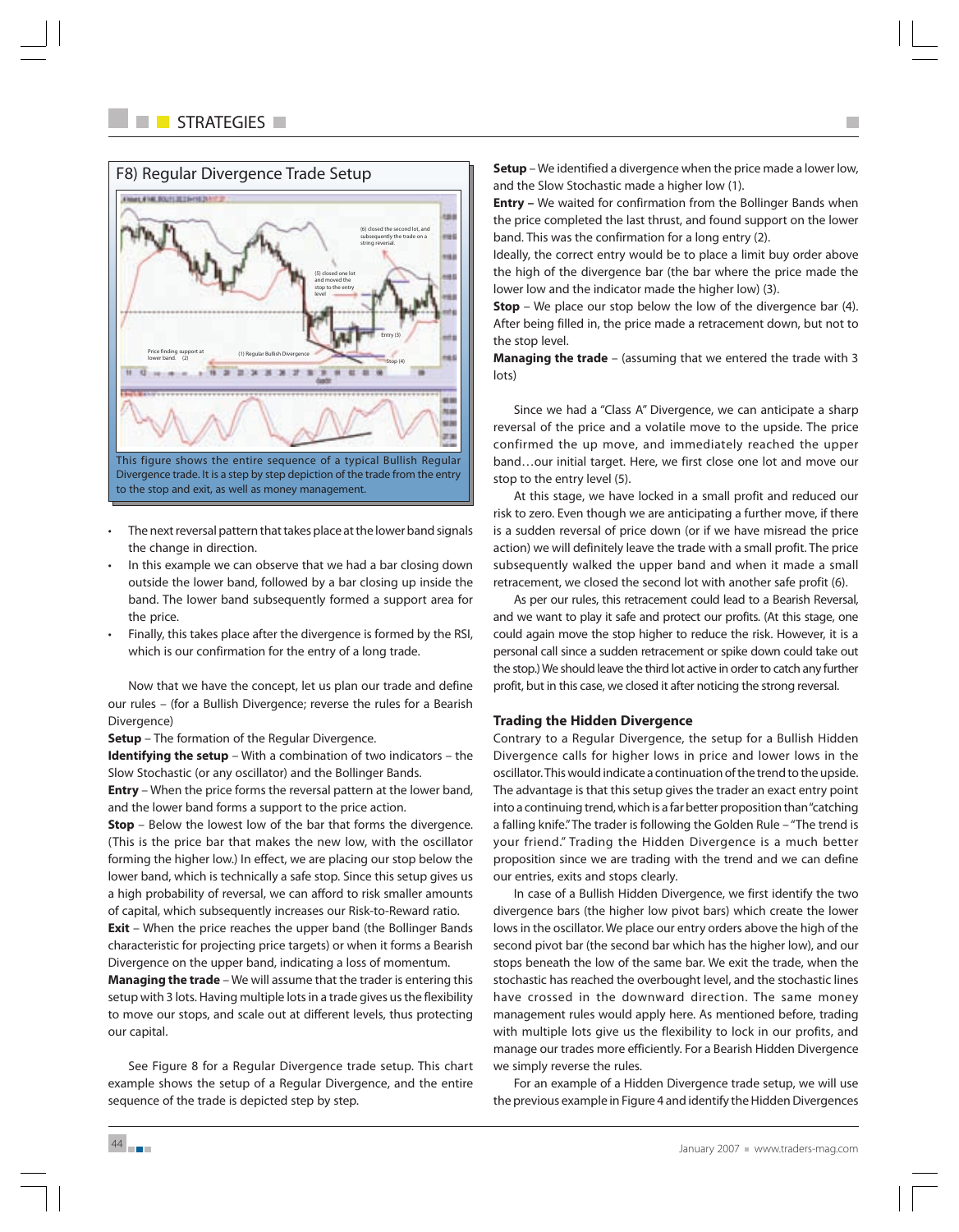

- The next reversal pattern that takes place at the lower band signals the change in direction.
- In this example we can observe that we had a bar closing down outside the lower band, followed by a bar closing up inside the band. The lower band subsequently formed a support area for the price.
- Finally, this takes place after the divergence is formed by the RSI, which is our confirmation for the entry of a long trade.

Now that we have the concept, let us plan our trade and define our rules – (for a Bullish Divergence; reverse the rules for a Bearish Divergence)

**Setup** – The formation of the Regular Divergence.

**Identifying the setup** – With a combination of two indicators – the Slow Stochastic (or any oscillator) and the Bollinger Bands.

**Entry** – When the price forms the reversal pattern at the lower band, and the lower band forms a support to the price action.

**Stop** – Below the lowest low of the bar that forms the divergence. (This is the price bar that makes the new low, with the oscillator forming the higher low.) In effect, we are placing our stop below the lower band, which is technically a safe stop. Since this setup gives us a high probability of reversal, we can afford to risk smaller amounts of capital, which subsequently increases our Risk-to-Reward ratio.

**Exit** – When the price reaches the upper band (the Bollinger Bands characteristic for projecting price targets) or when it forms a Bearish Divergence on the upper band, indicating a loss of momentum.

**Managing the trade** – We will assume that the trader is entering this setup with 3 lots. Having multiple lots in a trade gives us the flexibility to move our stops, and scale out at different levels, thus protecting our capital.

See Figure 8 for a Regular Divergence trade setup. This chart example shows the setup of a Regular Divergence, and the entire sequence of the trade is depicted step by step.

**Setup** – We identified a divergence when the price made a lower low, and the Slow Stochastic made a higher low (1).

**Entry –** We waited for confirmation from the Bollinger Bands when the price completed the last thrust, and found support on the lower band. This was the confirmation for a long entry (2).

Ideally, the correct entry would be to place a limit buy order above the high of the divergence bar (the bar where the price made the lower low and the indicator made the higher low) (3).

**Stop** – We place our stop below the low of the divergence bar (4). After being filled in, the price made a retracement down, but not to the stop level.

**Managing the trade** – (assuming that we entered the trade with 3 lots)

Since we had a "Class A" Divergence, we can anticipate a sharp reversal of the price and a volatile move to the upside. The price confirmed the up move, and immediately reached the upper band…our initial target. Here, we first close one lot and move our stop to the entry level (5).

At this stage, we have locked in a small profit and reduced our risk to zero. Even though we are anticipating a further move, if there is a sudden reversal of price down (or if we have misread the price action) we will definitely leave the trade with a small profit. The price subsequently walked the upper band and when it made a small retracement, we closed the second lot with another safe profit (6).

As per our rules, this retracement could lead to a Bearish Reversal, and we want to play it safe and protect our profits. (At this stage, one could again move the stop higher to reduce the risk. However, it is a personal call since a sudden retracement or spike down could take out the stop.) We should leave the third lot active in order to catch any further profit, but in this case, we closed it after noticing the strong reversal.

## **Trading the Hidden Divergence**

Contrary to a Regular Divergence, the setup for a Bullish Hidden Divergence calls for higher lows in price and lower lows in the oscillator. This would indicate a continuation of the trend to the upside. The advantage is that this setup gives the trader an exact entry point into a continuing trend, which is a far better proposition than "catching a falling knife." The trader is following the Golden Rule – "The trend is your friend." Trading the Hidden Divergence is a much better proposition since we are trading with the trend and we can define our entries, exits and stops clearly.

In case of a Bullish Hidden Divergence, we first identify the two divergence bars (the higher low pivot bars) which create the lower lows in the oscillator. We place our entry orders above the high of the second pivot bar (the second bar which has the higher low), and our stops beneath the low of the same bar. We exit the trade, when the stochastic has reached the overbought level, and the stochastic lines have crossed in the downward direction. The same money management rules would apply here. As mentioned before, trading with multiple lots give us the flexibility to lock in our profits, and manage our trades more efficiently. For a Bearish Hidden Divergence we simply reverse the rules.

For an example of a Hidden Divergence trade setup, we will use the previous example in Figure 4 and identify the Hidden Divergences